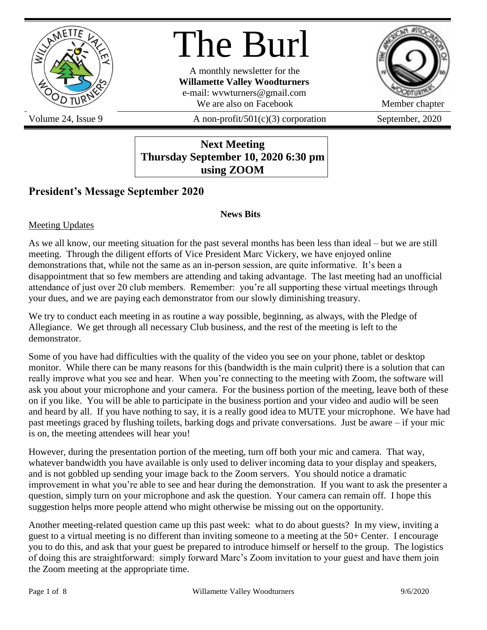

# The Burl

A monthly newsletter for the **Willamette Valley Woodturners** e-mail: wvwturners@gmail.com We are also on Facebook Member chapter



Volume 24, Issue 9  $A$  non-profit/501(c)(3) corporation September, 2020

**Next Meeting Thursday September 10, 2020 6:30 pm using ZOOM**

# **President's Message September 2020**

#### **News Bits**

Meeting Updates

As we all know, our meeting situation for the past several months has been less than ideal – but we are still meeting. Through the diligent efforts of Vice President Marc Vickery, we have enjoyed online demonstrations that, while not the same as an in-person session, are quite informative. It's been a disappointment that so few members are attending and taking advantage. The last meeting had an unofficial attendance of just over 20 club members. Remember: you're all supporting these virtual meetings through your dues, and we are paying each demonstrator from our slowly diminishing treasury.

We try to conduct each meeting in as routine a way possible, beginning, as always, with the Pledge of Allegiance. We get through all necessary Club business, and the rest of the meeting is left to the demonstrator.

Some of you have had difficulties with the quality of the video you see on your phone, tablet or desktop monitor. While there can be many reasons for this (bandwidth is the main culprit) there is a solution that can really improve what you see and hear. When you're connecting to the meeting with Zoom, the software will ask you about your microphone and your camera. For the business portion of the meeting, leave both of these on if you like. You will be able to participate in the business portion and your video and audio will be seen and heard by all. If you have nothing to say, it is a really good idea to MUTE your microphone. We have had past meetings graced by flushing toilets, barking dogs and private conversations. Just be aware – if your mic is on, the meeting attendees will hear you!

However, during the presentation portion of the meeting, turn off both your mic and camera. That way, whatever bandwidth you have available is only used to deliver incoming data to your display and speakers, and is not gobbled up sending your image back to the Zoom servers. You should notice a dramatic improvement in what you're able to see and hear during the demonstration. If you want to ask the presenter a question, simply turn on your microphone and ask the question. Your camera can remain off. I hope this suggestion helps more people attend who might otherwise be missing out on the opportunity.

Another meeting-related question came up this past week: what to do about guests? In my view, inviting a guest to a virtual meeting is no different than inviting someone to a meeting at the 50+ Center. I encourage you to do this, and ask that your guest be prepared to introduce himself or herself to the group. The logistics of doing this are straightforward: simply forward Marc's Zoom invitation to your guest and have them join the Zoom meeting at the appropriate time.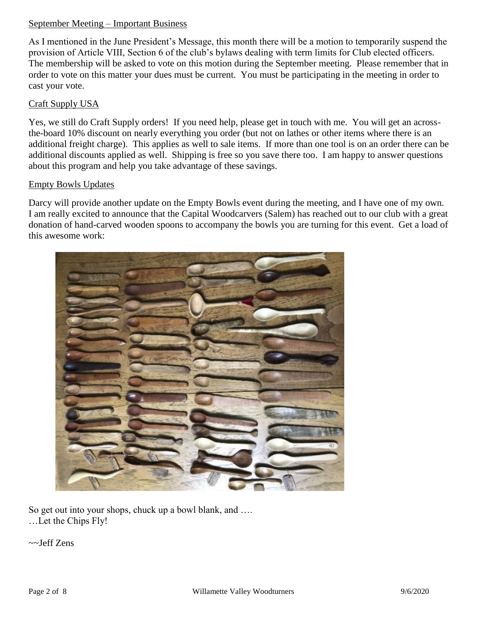#### September Meeting – Important Business

As I mentioned in the June President's Message, this month there will be a motion to temporarily suspend the provision of Article VIII, Section 6 of the club's bylaws dealing with term limits for Club elected officers. The membership will be asked to vote on this motion during the September meeting. Please remember that in order to vote on this matter your dues must be current. You must be participating in the meeting in order to cast your vote.

#### Craft Supply USA

Yes, we still do Craft Supply orders! If you need help, please get in touch with me. You will get an acrossthe-board 10% discount on nearly everything you order (but not on lathes or other items where there is an additional freight charge). This applies as well to sale items. If more than one tool is on an order there can be additional discounts applied as well. Shipping is free so you save there too. I am happy to answer questions about this program and help you take advantage of these savings.

#### Empty Bowls Updates

Darcy will provide another update on the Empty Bowls event during the meeting, and I have one of my own. I am really excited to announce that the Capital Woodcarvers (Salem) has reached out to our club with a great donation of hand-carved wooden spoons to accompany the bowls you are turning for this event. Get a load of this awesome work:



So get out into your shops, chuck up a bowl blank, and …. …Let the Chips Fly!

~~Jeff Zens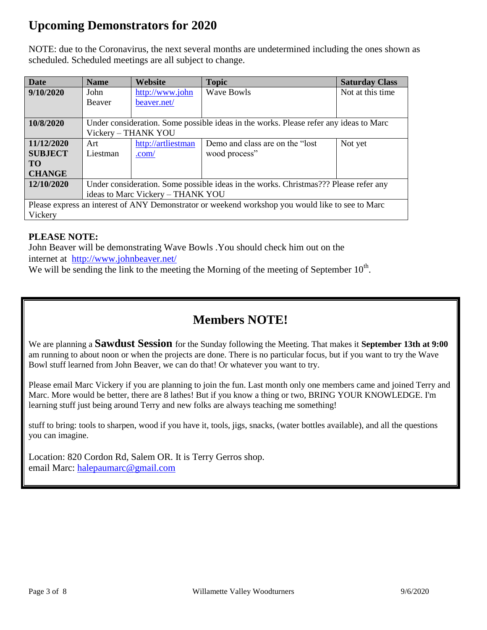# **Upcoming Demonstrators for 2020**

NOTE: due to the Coronavirus, the next several months are undetermined including the ones shown as scheduled. Scheduled meetings are all subject to change.

| <b>Date</b>                                                                                      | <b>Name</b>                                                                           | Website            | <b>Topic</b>                     | <b>Saturday Class</b> |
|--------------------------------------------------------------------------------------------------|---------------------------------------------------------------------------------------|--------------------|----------------------------------|-----------------------|
| 9/10/2020                                                                                        | John                                                                                  | http://www.john    | <b>Wave Bowls</b>                | Not at this time.     |
|                                                                                                  | Beaver                                                                                | beaver.net/        |                                  |                       |
|                                                                                                  |                                                                                       |                    |                                  |                       |
| 10/8/2020                                                                                        | Under consideration. Some possible ideas in the works. Please refer any ideas to Marc |                    |                                  |                       |
|                                                                                                  | Vickery - THANK YOU                                                                   |                    |                                  |                       |
| 11/12/2020                                                                                       | Art                                                                                   | http://artliestman | Demo and class are on the "lost" | Not yet               |
| <b>SUBJECT</b>                                                                                   | Liestman                                                                              | .com/              | wood process"                    |                       |
| <b>TO</b>                                                                                        |                                                                                       |                    |                                  |                       |
| <b>CHANGE</b>                                                                                    |                                                                                       |                    |                                  |                       |
| 12/10/2020                                                                                       | Under consideration. Some possible ideas in the works. Christmas??? Please refer any  |                    |                                  |                       |
|                                                                                                  | ideas to Marc Vickery - THANK YOU                                                     |                    |                                  |                       |
| Please express an interest of ANY Demonstrator or weekend workshop you would like to see to Marc |                                                                                       |                    |                                  |                       |
| Vickery                                                                                          |                                                                                       |                    |                                  |                       |

## **PLEASE NOTE:**

John Beaver will be demonstrating Wave Bowls .You should check him out on the internet at <http://www.johnbeaver.net/>

We will be sending the link to the meeting the Morning of the meeting of September  $10<sup>th</sup>$ .

# **Members NOTE!**

We are planning a **Sawdust Session** for the Sunday following the Meeting. That makes it **September 13th at 9:00** am running to about noon or when the projects are done. There is no particular focus, but if you want to try the Wave Bowl stuff learned from John Beaver, we can do that! Or whatever you want to try.

Please email Marc Vickery if you are planning to join the fun. Last month only one members came and joined Terry and Marc. More would be better, there are 8 lathes! But if you know a thing or two, BRING YOUR KNOWLEDGE. I'm learning stuff just being around Terry and new folks are always teaching me something!

stuff to bring: tools to sharpen, wood if you have it, tools, jigs, snacks, (water bottles available), and all the questions you can imagine.

Location: 820 Cordon Rd, Salem OR. It is Terry Gerros shop. email Marc: [halepaumarc@gmail.com](mailto:halepaumarc@gmail.com)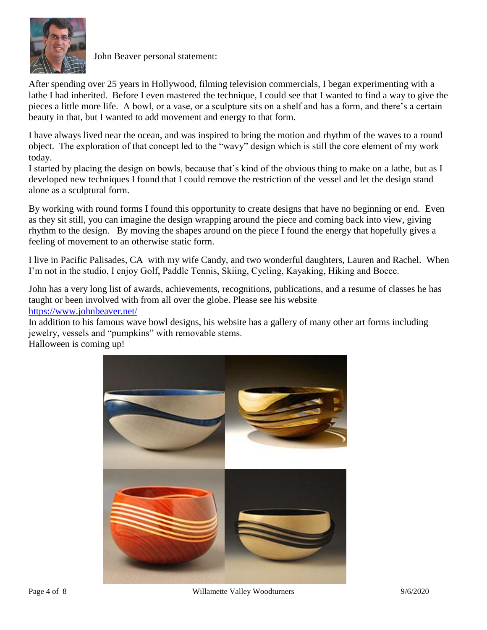

John Beaver personal statement:

After spending over 25 years in Hollywood, filming television commercials, I began experimenting with a lathe I had inherited. Before I even mastered the technique, I could see that I wanted to find a way to give the pieces a little more life. A bowl, or a vase, or a sculpture sits on a shelf and has a form, and there's a certain beauty in that, but I wanted to add movement and energy to that form.

I have always lived near the ocean, and was inspired to bring the motion and rhythm of the waves to a round object. The exploration of that concept led to the "wavy" design which is still the core element of my work today.

I started by placing the design on bowls, because that's kind of the obvious thing to make on a lathe, but as I developed new techniques I found that I could remove the restriction of the vessel and let the design stand alone as a sculptural form.

By working with round forms I found this opportunity to create designs that have no beginning or end. Even as they sit still, you can imagine the design wrapping around the piece and coming back into view, giving rhythm to the design. By moving the shapes around on the piece I found the energy that hopefully gives a feeling of movement to an otherwise static form.

I live in Pacific Palisades, CA with my wife Candy, and two wonderful daughters, Lauren and Rachel. When I'm not in the studio, I enjoy Golf, Paddle Tennis, Skiing, Cycling, Kayaking, Hiking and Bocce.

John has a very long list of awards, achievements, recognitions, publications, and a resume of classes he has taught or been involved with from all over the globe. Please see his website <https://www.johnbeaver.net/>

In addition to his famous wave bowl designs, his website has a gallery of many other art forms including jewelry, vessels and "pumpkins" with removable stems.

Halloween is coming up!

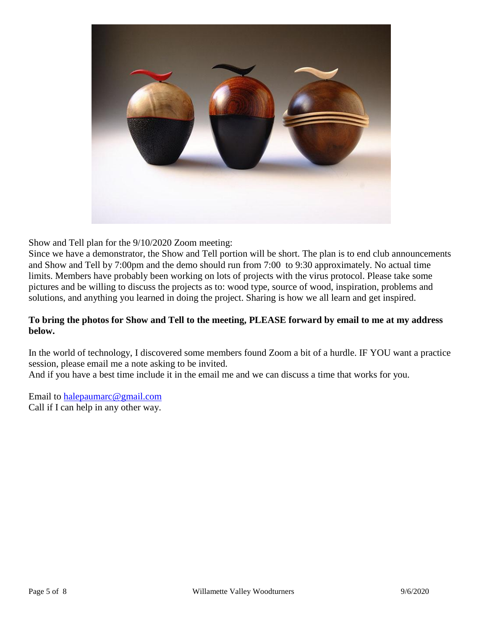

Show and Tell plan for the 9/10/2020 Zoom meeting:

Since we have a demonstrator, the Show and Tell portion will be short. The plan is to end club announcements and Show and Tell by 7:00pm and the demo should run from 7:00 to 9:30 approximately. No actual time limits. Members have probably been working on lots of projects with the virus protocol. Please take some pictures and be willing to discuss the projects as to: wood type, source of wood, inspiration, problems and solutions, and anything you learned in doing the project. Sharing is how we all learn and get inspired.

#### **To bring the photos for Show and Tell to the meeting, PLEASE forward by email to me at my address below.**

In the world of technology, I discovered some members found Zoom a bit of a hurdle. IF YOU want a practice session, please email me a note asking to be invited.

And if you have a best time include it in the email me and we can discuss a time that works for you.

Email to [halepaumarc@gmail.com](mailto:halepaumarc@gmail.com) Call if I can help in any other way.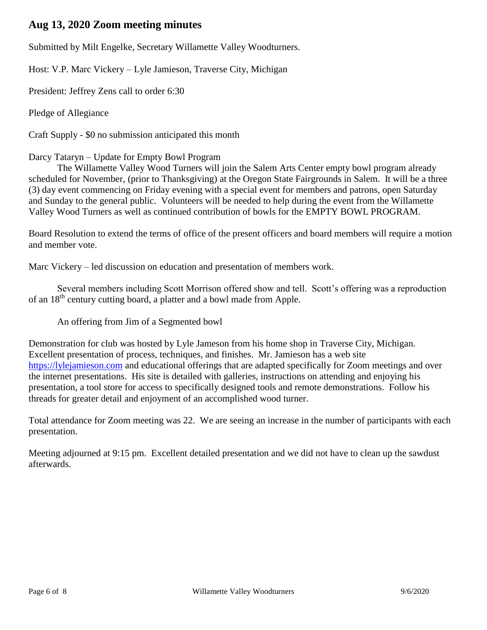# **Aug 13, 2020 Zoom meeting minutes**

Submitted by Milt Engelke, Secretary Willamette Valley Woodturners.

Host: V.P. Marc Vickery – Lyle Jamieson, Traverse City, Michigan

President: Jeffrey Zens call to order 6:30

Pledge of Allegiance

Craft Supply - \$0 no submission anticipated this month

#### Darcy Tataryn – Update for Empty Bowl Program

The Willamette Valley Wood Turners will join the Salem Arts Center empty bowl program already scheduled for November, (prior to Thanksgiving) at the Oregon State Fairgrounds in Salem. It will be a three (3) day event commencing on Friday evening with a special event for members and patrons, open Saturday and Sunday to the general public. Volunteers will be needed to help during the event from the Willamette Valley Wood Turners as well as continued contribution of bowls for the EMPTY BOWL PROGRAM.

Board Resolution to extend the terms of office of the present officers and board members will require a motion and member vote.

Marc Vickery – led discussion on education and presentation of members work.

Several members including Scott Morrison offered show and tell. Scott's offering was a reproduction of an 18<sup>th</sup> century cutting board, a platter and a bowl made from Apple.

An offering from Jim of a Segmented bowl

Demonstration for club was hosted by Lyle Jameson from his home shop in Traverse City, Michigan. Excellent presentation of process, techniques, and finishes. Mr. Jamieson has a web site [https://lylejamieson.com](https://lylejamieson.com/) and educational offerings that are adapted specifically for Zoom meetings and over the internet presentations. His site is detailed with galleries, instructions on attending and enjoying his presentation, a tool store for access to specifically designed tools and remote demonstrations. Follow his threads for greater detail and enjoyment of an accomplished wood turner.

Total attendance for Zoom meeting was 22. We are seeing an increase in the number of participants with each presentation.

Meeting adjourned at 9:15 pm. Excellent detailed presentation and we did not have to clean up the sawdust afterwards.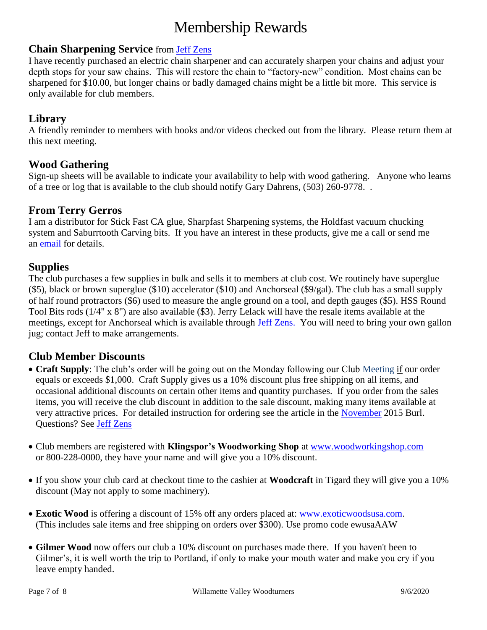# Membership Rewards

### **Chain Sharpening Service** from [Jeff Zens](mailto:PrezWVW@gmail.com)

I have recently purchased an electric chain sharpener and can accurately sharpen your chains and adjust your depth stops for your saw chains. This will restore the chain to "factory-new" condition. Most chains can be sharpened for \$10.00, but longer chains or badly damaged chains might be a little bit more. This service is only available for club members.

# **Library**

A friendly reminder to members with books and/or videos checked out from the library. Please return them at this next meeting.

# **Wood Gathering**

Sign-up sheets will be available to indicate your availability to help with wood gathering. Anyone who learns of a tree or log that is available to the club should notify Gary Dahrens, (503) 260-9778. .

#### **From Terry Gerros**

I am a distributor for Stick Fast CA glue, Sharpfast Sharpening systems, the Holdfast vacuum chucking system and Saburrtooth Carving bits. If you have an interest in these products, give me a call or send me an [email](mailto:gerrost@yahoo.com) for details.

# **Supplies**

The club purchases a few supplies in bulk and sells it to members at club cost. We routinely have superglue (\$5), black or brown superglue (\$10) accelerator (\$10) and Anchorseal (\$9/gal). The club has a small supply of half round protractors (\$6) used to measure the angle ground on a tool, and depth gauges (\$5). HSS Round Tool Bits rods (1/4" x 8") are also available (\$3). Jerry Lelack will have the resale items available at the meetings, except for Anchorseal which is available through [Jeff Zens.](mailto:PrezWVW@gmail.com) You will need to bring your own gallon jug; contact Jeff to make arrangements.

# **Club Member Discounts**

- **Craft Supply**: The club's order will be going out on the Monday following our Club Meeting if our order equals or exceeds \$1,000. Craft Supply gives us a 10% discount plus free shipping on all items, and occasional additional discounts on certain other items and quantity purchases. If you order from the sales items, you will receive the club discount in addition to the sale discount, making many items available at very attractive prices. For detailed instruction for ordering see the article in the [November](http://www.willamettevalleywoodturners.com/newsletters/2015_11_WVW_Newsletter.pdf) 2015 Burl. Questions? See [Jeff Zens](mailto:PrezWVW@gmail.com)
- Club members are registered with **Klingspor's Woodworking Shop** at [www.woodworkingshop.com](http://www.woodworkingshop.com/)  or 800-228-0000, they have your name and will give you a 10% discount.
- If you show your club card at checkout time to the cashier at **Woodcraft** in Tigard they will give you a 10% discount (May not apply to some machinery).
- **Exotic Wood** is offering a discount of 15% off any orders placed at: [www.exoticwoodsusa.com.](http://www.exoticwoodsusa.com/) (This includes sale items and free shipping on orders over \$300). Use promo code ewusaAAW
- **Gilmer Wood** now offers our club a 10% discount on purchases made there. If you haven't been to Gilmer's, it is well worth the trip to Portland, if only to make your mouth water and make you cry if you leave empty handed.